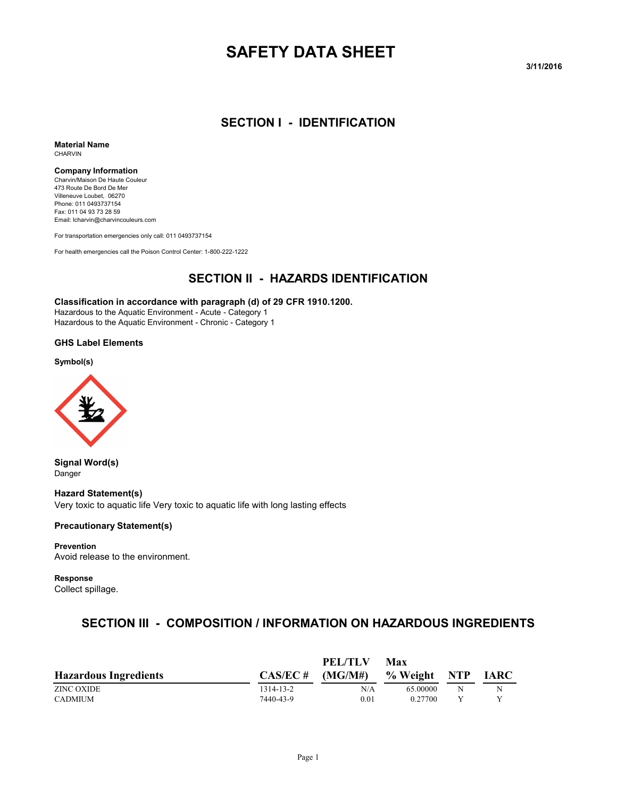# **SAFETY DATA SHEET**

**3/11/2016**

#### **SECTION I - IDENTIFICATION**

**Material Name** CHARVIN

#### **Company Information**

Charvin/Maison De Haute Couleur 473 Route De Bord De Mer Villeneuve Loubet, 06270 Phone: 011 0493737154 Fax: 011 04 93 73 28 59 Email: lcharvin@charvincouleurs.com

For transportation emergencies only call: 011 0493737154

For health emergencies call the Poison Control Center: 1-800-222-1222

#### **SECTION II - HAZARDS IDENTIFICATION**

#### **Classification in accordance with paragraph (d) of 29 CFR 1910.1200.**

Hazardous to the Aquatic Environment - Acute - Category 1 Hazardous to the Aquatic Environment - Chronic - Category 1

**GHS Label Elements**

**Symbol(s)**



**Signal Word(s)** Danger

**Hazard Statement(s)** Very toxic to aquatic life Very toxic to aquatic life with long lasting effects

#### **Precautionary Statement(s)**

**Prevention** Avoid release to the environment.

**Response**

Collect spillage.

### **SECTION III - COMPOSITION / INFORMATION ON HAZARDOUS INGREDIENTS**

|                              |             | PEL/TLV | Max      |     |             |
|------------------------------|-------------|---------|----------|-----|-------------|
| <b>Hazardous Ingredients</b> | $CAS/EC \#$ | (MG/M#) | % Weight | NTP | <b>IARC</b> |
| ZINC OXIDE                   | 1314-13-2   | N/A     | 65.00000 | N   | Ν           |
| CADMIUM                      | 7440-43-9   | 0.01    | 0.27700  |     |             |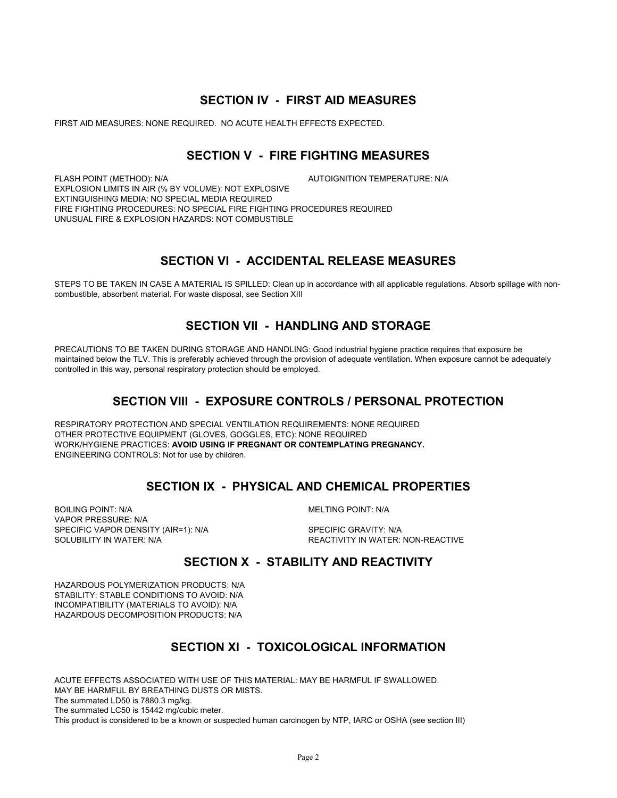#### **SECTION IV - FIRST AID MEASURES**

FIRST AID MEASURES: NONE REQUIRED. NO ACUTE HEALTH EFFECTS EXPECTED.

#### **SECTION V - FIRE FIGHTING MEASURES**

FLASH POINT (METHOD): N/A **AUTOIGNITION TEMPERATURE: N/A** EXPLOSION LIMITS IN AIR (% BY VOLUME): NOT EXPLOSIVE EXTINGUISHING MEDIA: NO SPECIAL MEDIA REQUIRED FIRE FIGHTING PROCEDURES: NO SPECIAL FIRE FIGHTING PROCEDURES REQUIRED UNUSUAL FIRE & EXPLOSION HAZARDS: NOT COMBUSTIBLE

#### **SECTION VI - ACCIDENTAL RELEASE MEASURES**

STEPS TO BE TAKEN IN CASE A MATERIAL IS SPILLED: Clean up in accordance with all applicable regulations. Absorb spillage with noncombustible, absorbent material. For waste disposal, see Section XIII

### **SECTION VII - HANDLING AND STORAGE**

PRECAUTIONS TO BE TAKEN DURING STORAGE AND HANDLING: Good industrial hygiene practice requires that exposure be maintained below the TLV. This is preferably achieved through the provision of adequate ventilation. When exposure cannot be adequately controlled in this way, personal respiratory protection should be employed.

#### **SECTION VIII - EXPOSURE CONTROLS / PERSONAL PROTECTION**

RESPIRATORY PROTECTION AND SPECIAL VENTILATION REQUIREMENTS: NONE REQUIRED OTHER PROTECTIVE EQUIPMENT (GLOVES, GOGGLES, ETC): NONE REQUIRED WORK/HYGIENE PRACTICES: **AVOID USING IF PREGNANT OR CONTEMPLATING PREGNANCY.**  ENGINEERING CONTROLS: Not for use by children.

#### **SECTION IX - PHYSICAL AND CHEMICAL PROPERTIES**

BOILING POINT: N/A **MELTING POINT: N/A** VAPOR PRESSURE: N/A SPECIFIC VAPOR DENSITY (AIR=1): N/A SPECIFIC GRAVITY: N/A SOLUBILITY IN WATER: N/A  $R$  and the second temperature in the REACTIVITY IN WATER: NON-REACTIVE

#### **SECTION X - STABILITY AND REACTIVITY**

HAZARDOUS POLYMERIZATION PRODUCTS: N/A STABILITY: STABLE CONDITIONS TO AVOID: N/A INCOMPATIBILITY (MATERIALS TO AVOID): N/A HAZARDOUS DECOMPOSITION PRODUCTS: N/A

### **SECTION XI - TOXICOLOGICAL INFORMATION**

ACUTE EFFECTS ASSOCIATED WITH USE OF THIS MATERIAL: MAY BE HARMFUL IF SWALLOWED. MAY BE HARMFUL BY BREATHING DUSTS OR MISTS. The summated LD50 is 7880.3 mg/kg. The summated LC50 is 15442 mg/cubic meter. This product is considered to be a known or suspected human carcinogen by NTP, IARC or OSHA (see section III)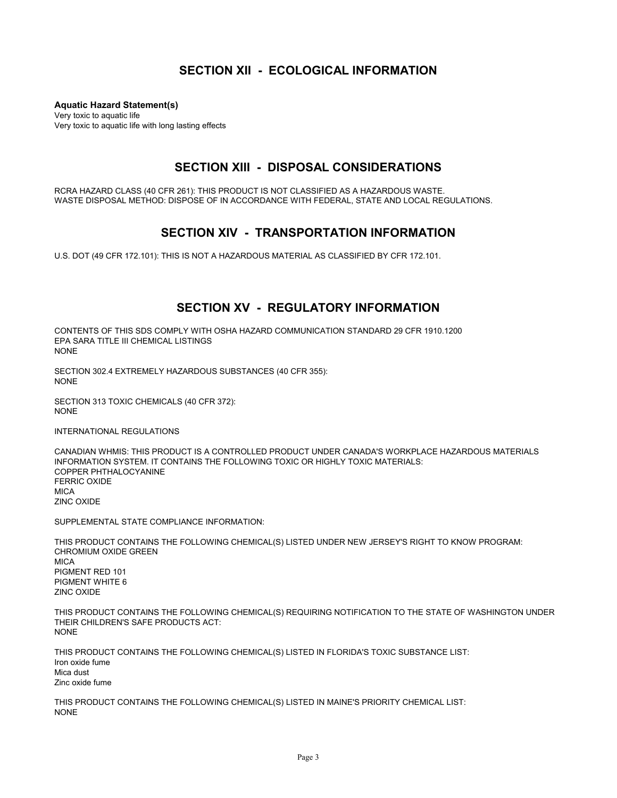#### **SECTION XII - ECOLOGICAL INFORMATION**

**Aquatic Hazard Statement(s)** Very toxic to aquatic life Very toxic to aquatic life with long lasting effects

#### **SECTION XIII - DISPOSAL CONSIDERATIONS**

RCRA HAZARD CLASS (40 CFR 261): THIS PRODUCT IS NOT CLASSIFIED AS A HAZARDOUS WASTE. WASTE DISPOSAL METHOD: DISPOSE OF IN ACCORDANCE WITH FEDERAL, STATE AND LOCAL REGULATIONS.

#### **SECTION XIV - TRANSPORTATION INFORMATION**

U.S. DOT (49 CFR 172.101): THIS IS NOT A HAZARDOUS MATERIAL AS CLASSIFIED BY CFR 172.101.

#### **SECTION XV - REGULATORY INFORMATION**

CONTENTS OF THIS SDS COMPLY WITH OSHA HAZARD COMMUNICATION STANDARD 29 CFR 1910.1200 EPA SARA TITLE III CHEMICAL LISTINGS NONE

SECTION 302.4 EXTREMELY HAZARDOUS SUBSTANCES (40 CFR 355): NONE

SECTION 313 TOXIC CHEMICALS (40 CFR 372): NONE

INTERNATIONAL REGULATIONS

CANADIAN WHMIS: THIS PRODUCT IS A CONTROLLED PRODUCT UNDER CANADA'S WORKPLACE HAZARDOUS MATERIALS INFORMATION SYSTEM. IT CONTAINS THE FOLLOWING TOXIC OR HIGHLY TOXIC MATERIALS: COPPER PHTHALOCYANINE FERRIC OXIDE **MICA** ZINC OXIDE

SUPPLEMENTAL STATE COMPLIANCE INFORMATION:

THIS PRODUCT CONTAINS THE FOLLOWING CHEMICAL(S) LISTED UNDER NEW JERSEY'S RIGHT TO KNOW PROGRAM: CHROMIUM OXIDE GREEN **MICA** PIGMENT RED 101 PIGMENT WHITE 6 ZINC OXIDE

THIS PRODUCT CONTAINS THE FOLLOWING CHEMICAL(S) REQUIRING NOTIFICATION TO THE STATE OF WASHINGTON UNDER THEIR CHILDREN'S SAFE PRODUCTS ACT: NONE

THIS PRODUCT CONTAINS THE FOLLOWING CHEMICAL(S) LISTED IN FLORIDA'S TOXIC SUBSTANCE LIST: Iron oxide fume Mica dust Zinc oxide fume

THIS PRODUCT CONTAINS THE FOLLOWING CHEMICAL(S) LISTED IN MAINE'S PRIORITY CHEMICAL LIST: NONE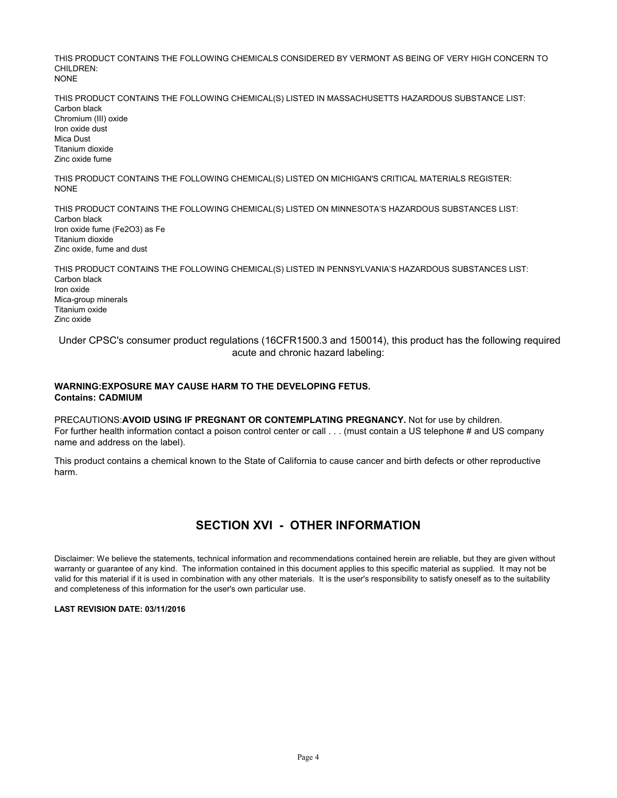THIS PRODUCT CONTAINS THE FOLLOWING CHEMICALS CONSIDERED BY VERMONT AS BEING OF VERY HIGH CONCERN TO CHILDREN: NONE

THIS PRODUCT CONTAINS THE FOLLOWING CHEMICAL(S) LISTED IN MASSACHUSETTS HAZARDOUS SUBSTANCE LIST: Carbon black Chromium (III) oxide Iron oxide dust Mica Dust Titanium dioxide Zinc oxide fume

THIS PRODUCT CONTAINS THE FOLLOWING CHEMICAL(S) LISTED ON MICHIGAN'S CRITICAL MATERIALS REGISTER: NONE

THIS PRODUCT CONTAINS THE FOLLOWING CHEMICAL(S) LISTED ON MINNESOTA'S HAZARDOUS SUBSTANCES LIST: Carbon black Iron oxide fume (Fe2O3) as Fe Titanium dioxide Zinc oxide, fume and dust

THIS PRODUCT CONTAINS THE FOLLOWING CHEMICAL(S) LISTED IN PENNSYLVANIA'S HAZARDOUS SUBSTANCES LIST: Carbon black Iron oxide Mica-group minerals Titanium oxide Zinc oxide

 Under CPSC's consumer product regulations (16CFR1500.3 and 150014), this product has the following required acute and chronic hazard labeling:

#### **WARNING:EXPOSURE MAY CAUSE HARM TO THE DEVELOPING FETUS. Contains: CADMIUM**

PRECAUTIONS:**AVOID USING IF PREGNANT OR CONTEMPLATING PREGNANCY.** Not for use by children. For further health information contact a poison control center or call . . . (must contain a US telephone # and US company name and address on the label).

This product contains a chemical known to the State of California to cause cancer and birth defects or other reproductive harm.

### **SECTION XVI - OTHER INFORMATION**

Disclaimer: We believe the statements, technical information and recommendations contained herein are reliable, but they are given without warranty or guarantee of any kind. The information contained in this document applies to this specific material as supplied. It may not be valid for this material if it is used in combination with any other materials. It is the user's responsibility to satisfy oneself as to the suitability and completeness of this information for the user's own particular use.

#### **LAST REVISION DATE: 03/11/2016**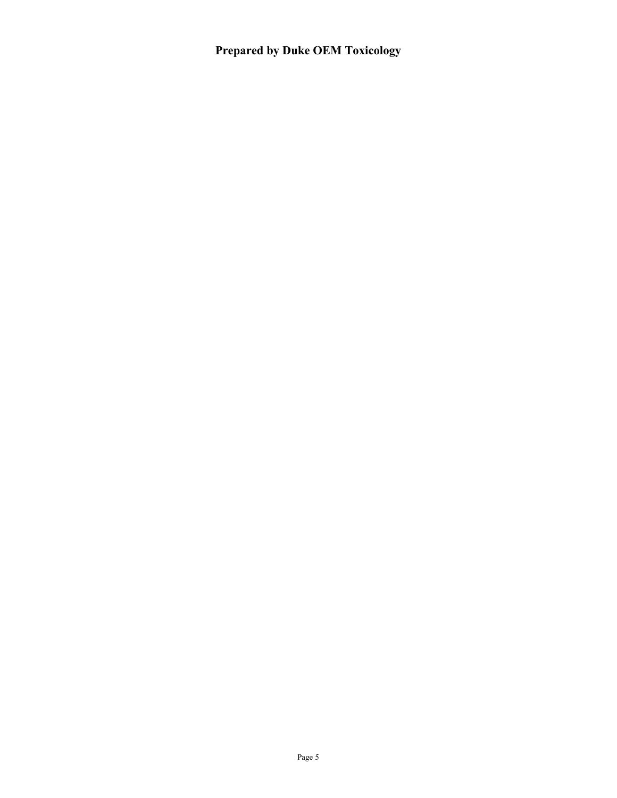**Prepared by Duke OEM Toxicology**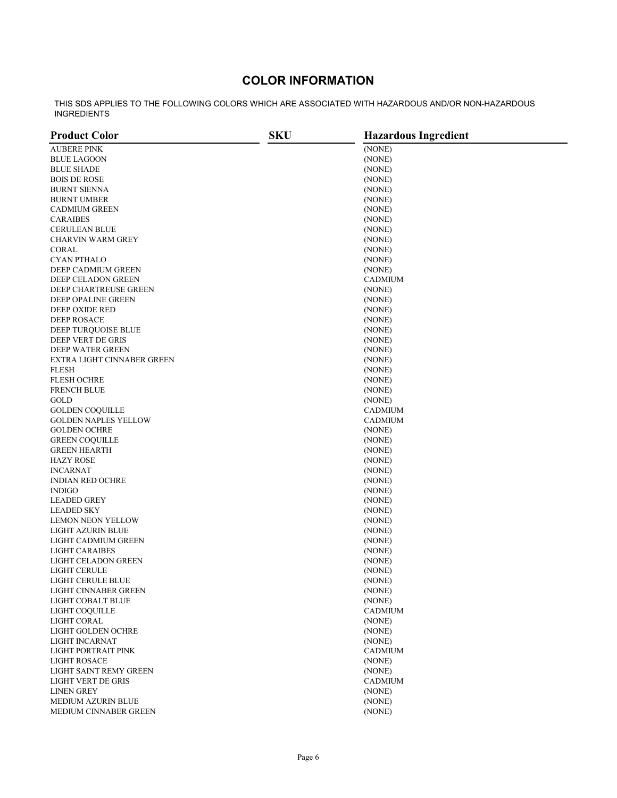### **COLOR INFORMATION**

THIS SDS APPLIES TO THE FOLLOWING COLORS WHICH ARE ASSOCIATED WITH HAZARDOUS AND/OR NON-HAZARDOUS INGREDIENTS

| <b>Product Color</b>                     | <b>SKU</b> | <b>Hazardous Ingredient</b> |  |
|------------------------------------------|------------|-----------------------------|--|
| <b>AUBERE PINK</b>                       |            | (NONE)                      |  |
| BLUE LAGOON                              |            | (NONE)                      |  |
| <b>BLUE SHADE</b>                        |            | (NONE)                      |  |
| <b>BOIS DE ROSE</b>                      |            | (NONE)                      |  |
| BURNT SIENNA                             |            | (NONE)                      |  |
| BURNT UMBER                              |            | (NONE)                      |  |
| <b>CADMIUM GREEN</b>                     |            | (NONE)                      |  |
| <b>CARAIBES</b>                          |            | (NONE)                      |  |
| <b>CERULEAN BLUE</b>                     |            | (NONE)                      |  |
| CHARVIN WARM GREY                        |            | (NONE)                      |  |
| CORAL                                    |            | (NONE)                      |  |
| CYAN PTHALO                              |            |                             |  |
|                                          |            | (NONE)                      |  |
| DEEP CADMIUM GREEN                       |            | (NONE)                      |  |
| DEEP CELADON GREEN                       |            | CADMIUM                     |  |
| DEEP CHARTREUSE GREEN                    |            | (NONE)                      |  |
| DEEP OPALINE GREEN                       |            | (NONE)                      |  |
| DEEP OXIDE RED                           |            | (NONE)                      |  |
| DEEP ROSACE                              |            | (NONE)                      |  |
| DEEP TURQUOISE BLUE                      |            | (NONE)                      |  |
| DEEP VERT DE GRIS                        |            | (NONE)                      |  |
| DEEP WATER GREEN                         |            | (NONE)                      |  |
| EXTRA LIGHT CINNABER GREEN               |            | (NONE)                      |  |
| <b>FLESH</b>                             |            | (NONE)                      |  |
| <b>FLESH OCHRE</b>                       |            | (NONE)                      |  |
| <b>FRENCH BLUE</b>                       |            | (NONE)                      |  |
| GOLD                                     |            | (NONE)                      |  |
| <b>GOLDEN COQUILLE</b>                   |            | CADMIUM                     |  |
| <b>GOLDEN NAPLES YELLOW</b>              |            | CADMIUM                     |  |
| <b>GOLDEN OCHRE</b>                      |            | (NONE)                      |  |
| <b>GREEN COQUILLE</b>                    |            | (NONE)                      |  |
| <b>GREEN HEARTH</b>                      |            | (NONE)                      |  |
| <b>HAZY ROSE</b>                         |            | (NONE)                      |  |
| <b>INCARNAT</b>                          |            | (NONE)                      |  |
| <b>INDIAN RED OCHRE</b><br><b>INDIGO</b> |            | (NONE)                      |  |
| <b>LEADED GREY</b>                       |            | (NONE)                      |  |
| LEADED SKY                               |            | (NONE)                      |  |
| <b>LEMON NEON YELLOW</b>                 |            | (NONE)<br>(NONE)            |  |
| LIGHT AZURIN BLUE                        |            | (NONE)                      |  |
| LIGHT CADMIUM GREEN                      |            | (NONE)                      |  |
| <b>LIGHT CARAIBES</b>                    |            | (NONE)                      |  |
| LIGHT CELADON GREEN                      |            | (NONE)                      |  |
| LIGHT CERULE                             |            | (NONE)                      |  |
| LIGHT CERULE BLUE                        |            | (NONE)                      |  |
| LIGHT CINNABER GREEN                     |            | (NONE)                      |  |
| LIGHT COBALT BLUE                        |            | (NONE)                      |  |
| LIGHT COQUILLE                           |            | <b>CADMIUM</b>              |  |
| <b>LIGHT CORAL</b>                       |            | (NONE)                      |  |
| LIGHT GOLDEN OCHRE                       |            | (NONE)                      |  |
| LIGHT INCARNAT                           |            | (NONE)                      |  |
| LIGHT PORTRAIT PINK                      |            | <b>CADMIUM</b>              |  |
| <b>LIGHT ROSACE</b>                      |            | (NONE)                      |  |
| LIGHT SAINT REMY GREEN                   |            | (NONE)                      |  |
| LIGHT VERT DE GRIS                       |            | <b>CADMIUM</b>              |  |
| <b>LINEN GREY</b>                        |            | (NONE)                      |  |
| <b>MEDIUM AZURIN BLUE</b>                |            | (NONE)                      |  |
| MEDIUM CINNABER GREEN                    |            | (NONE)                      |  |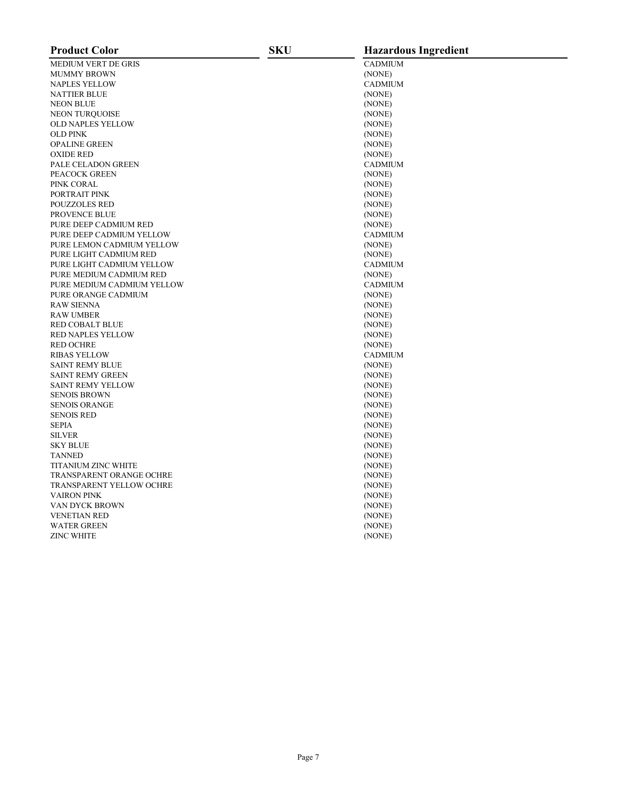| <b>Product Color</b>            | <b>SKU</b> | <b>Hazardous Ingredient</b> |
|---------------------------------|------------|-----------------------------|
| <b>MEDIUM VERT DE GRIS</b>      |            | <b>CADMIUM</b>              |
| <b>MUMMY BROWN</b>              |            | (NONE)                      |
| <b>NAPLES YELLOW</b>            |            | <b>CADMIUM</b>              |
| <b>NATTIER BLUE</b>             |            | (NONE)                      |
| <b>NEON BLUE</b>                |            | (NONE)                      |
| <b>NEON TURQUOISE</b>           |            | (NONE)                      |
| <b>OLD NAPLES YELLOW</b>        |            | (NONE)                      |
| <b>OLD PINK</b>                 |            | (NONE)                      |
| <b>OPALINE GREEN</b>            |            | (NONE)                      |
| <b>OXIDE RED</b>                |            | (NONE)                      |
| PALE CELADON GREEN              |            | <b>CADMIUM</b>              |
| PEACOCK GREEN                   |            | (NONE)                      |
| PINK CORAL                      |            | (NONE)                      |
| PORTRAIT PINK                   |            | (NONE)                      |
| <b>POUZZOLES RED</b>            |            | (NONE)                      |
| PROVENCE BLUE                   |            | (NONE)                      |
| PURE DEEP CADMIUM RED           |            | (NONE)                      |
| PURE DEEP CADMIUM YELLOW        |            | <b>CADMIUM</b>              |
| PURE LEMON CADMIUM YELLOW       |            | (NONE)                      |
| PURE LIGHT CADMIUM RED          |            | (NONE)                      |
| PURE LIGHT CADMIUM YELLOW       |            | <b>CADMIUM</b>              |
| PURE MEDIUM CADMIUM RED         |            | (NONE)                      |
| PURE MEDIUM CADMIUM YELLOW      |            | <b>CADMIUM</b>              |
| PURE ORANGE CADMIUM             |            | (NONE)                      |
| <b>RAW SIENNA</b>               |            | (NONE)                      |
| <b>RAW UMBER</b>                |            | (NONE)                      |
| <b>RED COBALT BLUE</b>          |            | (NONE)                      |
| <b>RED NAPLES YELLOW</b>        |            | (NONE)                      |
| <b>RED OCHRE</b>                |            | (NONE)                      |
| <b>RIBAS YELLOW</b>             |            | <b>CADMIUM</b>              |
| <b>SAINT REMY BLUE</b>          |            | (NONE)                      |
| <b>SAINT REMY GREEN</b>         |            | (NONE)                      |
| <b>SAINT REMY YELLOW</b>        |            | (NONE)                      |
| <b>SENOIS BROWN</b>             |            | (NONE)                      |
| <b>SENOIS ORANGE</b>            |            | (NONE)                      |
| <b>SENOIS RED</b>               |            | (NONE)                      |
| <b>SEPIA</b>                    |            | (NONE)                      |
| <b>SILVER</b>                   |            | (NONE)                      |
| <b>SKY BLUE</b>                 |            |                             |
| <b>TANNED</b>                   |            | (NONE)                      |
| <b>TITANIUM ZINC WHITE</b>      |            | (NONE)                      |
| <b>TRANSPARENT ORANGE OCHRE</b> |            | (NONE)                      |
|                                 |            | (NONE)                      |
| <b>TRANSPARENT YELLOW OCHRE</b> |            | (NONE)                      |
| <b>VAIRON PINK</b>              |            | (NONE)                      |
| VAN DYCK BROWN                  |            | (NONE)                      |
| <b>VENETIAN RED</b>             |            | (NONE)                      |
| <b>WATER GREEN</b>              |            | (NONE)                      |
| <b>ZINC WHITE</b>               |            | (NONE)                      |